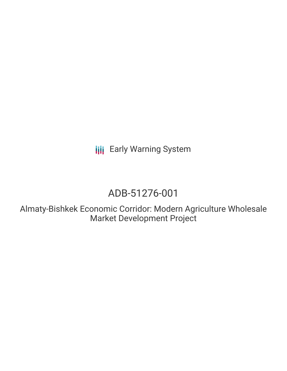**III** Early Warning System

# ADB-51276-001

Almaty-Bishkek Economic Corridor: Modern Agriculture Wholesale Market Development Project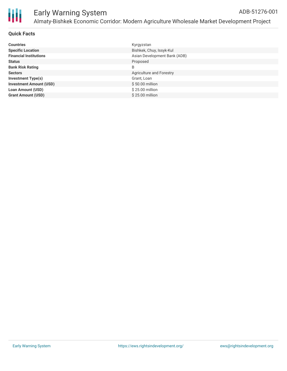

## **Quick Facts**

| <b>Countries</b>               |                              |
|--------------------------------|------------------------------|
|                                | Kyrgyzstan                   |
| <b>Specific Location</b>       | Bishkek, Chuy, Issyk-Kul     |
| <b>Financial Institutions</b>  | Asian Development Bank (ADB) |
| <b>Status</b>                  | Proposed                     |
| <b>Bank Risk Rating</b>        | B                            |
| <b>Sectors</b>                 | Agriculture and Forestry     |
| <b>Investment Type(s)</b>      | Grant, Loan                  |
| <b>Investment Amount (USD)</b> | \$50.00 million              |
| <b>Loan Amount (USD)</b>       | \$25.00 million              |
| <b>Grant Amount (USD)</b>      | $$25.00$ million             |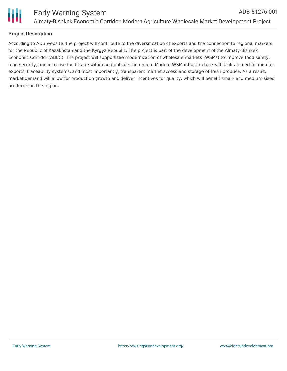

## **Project Description**

According to ADB website, the project will contribute to the diversification of exports and the connection to regional markets for the Republic of Kazakhstan and the Kyrgyz Republic. The project is part of the development of the Almaty-Bishkek Economic Corridor (ABEC). The project will support the modernization of wholesale markets (WSMs) to improve food safety, food security, and increase food trade within and outside the region. Modern WSM infrastructure will facilitate certification for exports, traceability systems, and most importantly, transparent market access and storage of fresh produce. As a result, market demand will allow for production growth and deliver incentives for quality, which will benefit small- and medium-sized producers in the region.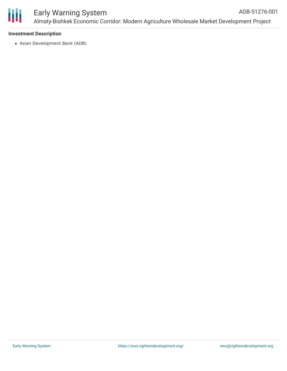

#### **Investment Description**

Asian Development Bank (ADB)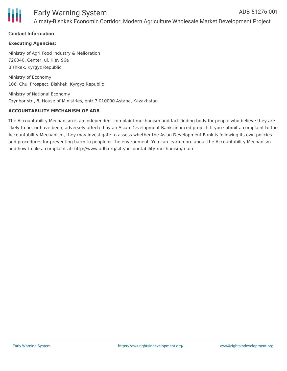

#### **Contact Information**

#### **Executing Agencies:**

Ministry of Agri,Food Industry & Melioration 720040, Center, ul. Kiev 96a Bishkek, Kyrgyz Republic

Ministry of Economy 106, Chui Prospect, Bishkek, Kyrgyz Republic

Ministry of National Economy Orynbor str., 8, House of Ministries, entr.7,010000 Astana, Kazakhstan

#### **ACCOUNTABILITY MECHANISM OF ADB**

The Accountability Mechanism is an independent complaint mechanism and fact-finding body for people who believe they are likely to be, or have been, adversely affected by an Asian Development Bank-financed project. If you submit a complaint to the Accountability Mechanism, they may investigate to assess whether the Asian Development Bank is following its own policies and procedures for preventing harm to people or the environment. You can learn more about the Accountability Mechanism and how to file a complaint at: http://www.adb.org/site/accountability-mechanism/main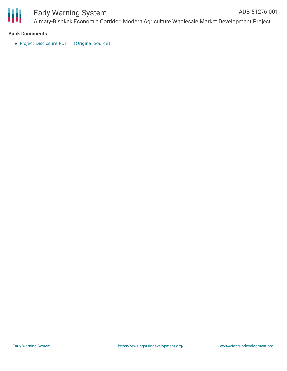

# Early Warning System

Almaty-Bishkek Economic Corridor: Modern Agriculture Wholesale Market Development Project ADB-51276-001

#### **Bank Documents**

• Project [Disclosure](https://ewsdata.rightsindevelopment.org/files/documents/01/ADB-51276-001.pdf) PDF [\[Original](https://www.adb.org/printpdf/projects/51276-001/main) Source]